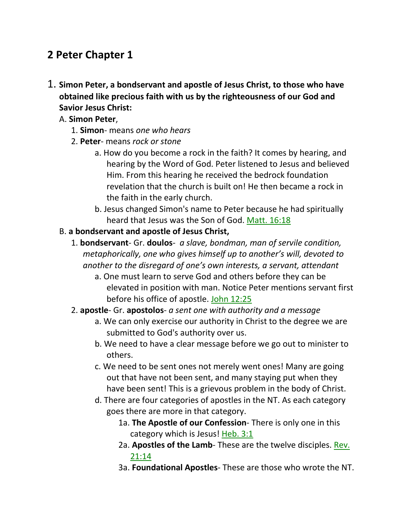# **2 Peter Chapter 1**

- 1. **Simon Peter, a bondservant and apostle of Jesus Christ, to those who have obtained like precious faith with us by the righteousness of our God and Savior Jesus Christ:** 
	- A. **Simon Peter**,
		- 1. **Simon** means *one who hears*
		- 2. **Peter** means *rock or stone*
			- a. How do you become a rock in the faith? It comes by hearing, and hearing by the Word of God. Peter listened to Jesus and believed Him. From this hearing he received the bedrock foundation revelation that the church is built on! He then became a rock in the faith in the early church.
			- b. Jesus changed Simon's name to Peter because he had spiritually heard that Jesus was the Son of God. Matt. 16:18
	- B. **a bondservant and apostle of Jesus Christ,**
		- 1. **bondservant** Gr. **doulos** *a slave, bondman, man of servile condition, metaphorically, one who gives himself up to another's will, devoted to another to the disregard of one's own interests, a servant, attendant*
			- a. One must learn to serve God and others before they can be elevated in position with man. Notice Peter mentions servant first before his office of apostle. John 12:25
		- 2. **apostle** Gr. **apostolos** *a sent one with authority and a message*
			- a. We can only exercise our authority in Christ to the degree we are submitted to God's authority over us.
			- b. We need to have a clear message before we go out to minister to others.
			- c. We need to be sent ones not merely went ones! Many are going out that have not been sent, and many staying put when they have been sent! This is a grievous problem in the body of Christ.
			- d. There are four categories of apostles in the NT. As each category goes there are more in that category.
				- 1a. **The Apostle of our Confession** There is only one in this category which is Jesus! Heb. 3:1
				- 2a. **Apostles of the Lamb** These are the twelve disciples. Rev. 21:14
				- 3a. **Foundational Apostles** These are those who wrote the NT.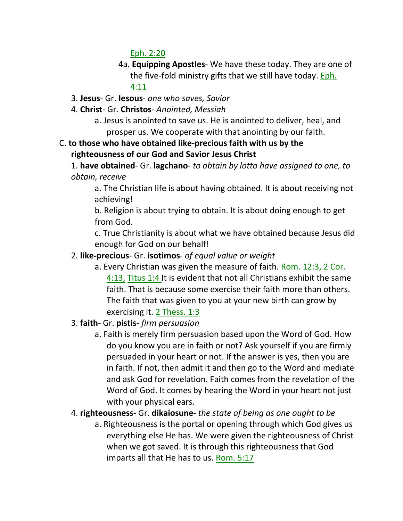Eph. 2:20

- 4a. **Equipping Apostles** We have these today. They are one of the five-fold ministry gifts that we still have today. Eph. 4:11
- 3. **Jesus** Gr. **Iesous** *one who saves, Savior*
- 4. **Christ** Gr. **Christos** *Anointed, Messiah*
	- a. Jesus is anointed to save us. He is anointed to deliver, heal, and prosper us. We cooperate with that anointing by our faith.
- C. **to those who have obtained like-precious faith with us by the righteousness of our God and Savior Jesus Christ**

1. **have obtained**- Gr. **lagchano**- *to obtain by lotto have assigned to one, to obtain, receive*

a. The Christian life is about having obtained. It is about receiving not achieving!

b. Religion is about trying to obtain. It is about doing enough to get from God.

c. True Christianity is about what we have obtained because Jesus did enough for God on our behalf!

#### 2. **like-precious**- Gr. **isotimos**- *of equal value or weight*

- a. Every Christian was given the measure of faith. Rom. 12:3, 2 Cor. 4:13, Titus 1:4 It is evident that not all Christians exhibit the same faith. That is because some exercise their faith more than others. The faith that was given to you at your new birth can grow by exercising it. 2 Thess. 1:3
- 3. **faith** Gr. **pistis** *firm persuasion*
	- a. Faith is merely firm persuasion based upon the Word of God. How do you know you are in faith or not? Ask yourself if you are firmly persuaded in your heart or not. If the answer is yes, then you are in faith. If not, then admit it and then go to the Word and mediate and ask God for revelation. Faith comes from the revelation of the Word of God. It comes by hearing the Word in your heart not just with your physical ears.
- 4. **righteousness** Gr. **dikaiosune** *the state of being as one ought to be*
	- a. Righteousness is the portal or opening through which God gives us everything else He has. We were given the righteousness of Christ when we got saved. It is through this righteousness that God imparts all that He has to us. Rom. 5:17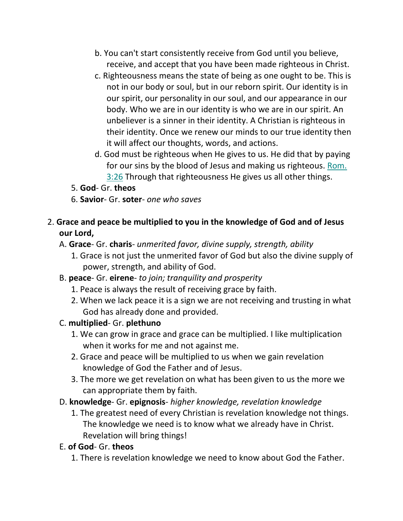- b. You can't start consistently receive from God until you believe, receive, and accept that you have been made righteous in Christ.
- c. Righteousness means the state of being as one ought to be. This is not in our body or soul, but in our reborn spirit. Our identity is in our spirit, our personality in our soul, and our appearance in our body. Who we are in our identity is who we are in our spirit. An unbeliever is a sinner in their identity. A Christian is righteous in their identity. Once we renew our minds to our true identity then it will affect our thoughts, words, and actions.
- d. God must be righteous when He gives to us. He did that by paying for our sins by the blood of Jesus and making us righteous. Rom. 3:26 Through that righteousness He gives us all other things.

#### 5. **God**- Gr. **theos**

- 6. **Savior** Gr. **soter** *one who saves*
- 2. **Grace and peace be multiplied to you in the knowledge of God and of Jesus our Lord,** 
	- A. **Grace** Gr. **charis** *unmerited favor, divine supply, strength, ability*
		- 1. Grace is not just the unmerited favor of God but also the divine supply of power, strength, and ability of God.
	- B. **peace** Gr. **eirene** *to join; tranquility and prosperity*
		- 1. Peace is always the result of receiving grace by faith.
		- 2. When we lack peace it is a sign we are not receiving and trusting in what God has already done and provided.
	- C. **multiplied** Gr. **plethuno**
		- 1. We can grow in grace and grace can be multiplied. I like multiplication when it works for me and not against me.
		- 2. Grace and peace will be multiplied to us when we gain revelation knowledge of God the Father and of Jesus.
		- 3. The more we get revelation on what has been given to us the more we can appropriate them by faith.
	- D. **knowledge** Gr. **epignosis** *higher knowledge, revelation knowledge*
		- 1. The greatest need of every Christian is revelation knowledge not things. The knowledge we need is to know what we already have in Christ. Revelation will bring things!

#### E. **of God**- Gr. **theos**

1. There is revelation knowledge we need to know about God the Father.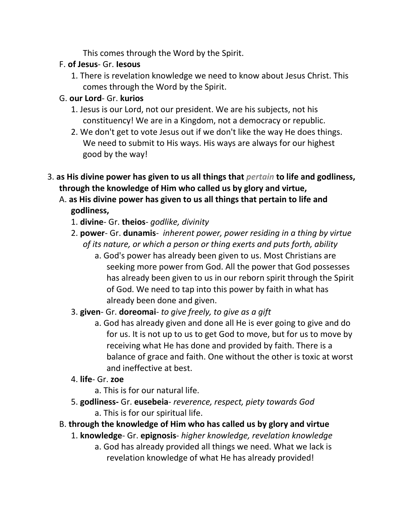This comes through the Word by the Spirit.

#### F. **of Jesus**- Gr. **Iesous**

1. There is revelation knowledge we need to know about Jesus Christ. This comes through the Word by the Spirit.

## G. **our Lord**- Gr. **kurios**

- 1. Jesus is our Lord, not our president. We are his subjects, not his constituency! We are in a Kingdom, not a democracy or republic.
- 2. We don't get to vote Jesus out if we don't like the way He does things. We need to submit to His ways. His ways are always for our highest good by the way!
- 3. **as His divine power has given to us all things that** *pertain* **to life and godliness, through the knowledge of Him who called us by glory and virtue,** 
	- A. **as His divine power has given to us all things that pertain to life and godliness,**
		- 1. **divine** Gr. **theios** *godlike, divinity*
		- 2. **power** Gr. **dunamis** *inherent power, power residing in a thing by virtue of its nature, or which a person or thing exerts and puts forth, ability*
			- a. God's power has already been given to us. Most Christians are seeking more power from God. All the power that God possesses has already been given to us in our reborn spirit through the Spirit of God. We need to tap into this power by faith in what has already been done and given.
		- 3. **given** Gr. **doreomai** *to give freely, to give as a gift*
			- a. God has already given and done all He is ever going to give and do for us. It is not up to us to get God to move, but for us to move by receiving what He has done and provided by faith. There is a balance of grace and faith. One without the other is toxic at worst and ineffective at best.
		- 4. **life** Gr. **zoe**
			- a. This is for our natural life.
		- 5. **godliness-** Gr. **eusebeia** *reverence, respect, piety towards God* a. This is for our spiritual life.
	- B. **through the knowledge of Him who has called us by glory and virtue**
		- 1. **knowledge** Gr. **epignosis** *higher knowledge, revelation knowledge*
			- a. God has already provided all things we need. What we lack is revelation knowledge of what He has already provided!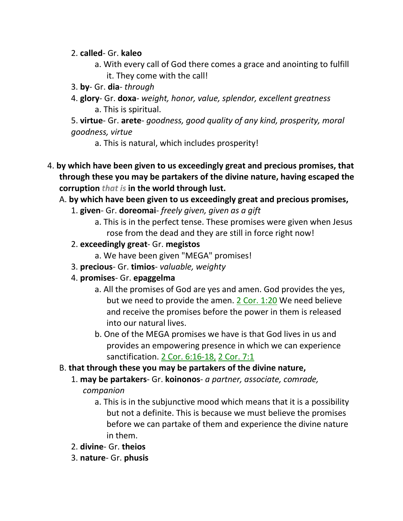#### 2. **called**- Gr. **kaleo**

- a. With every call of God there comes a grace and anointing to fulfill it. They come with the call!
- 3. **by** Gr. **dia** *through*
- 4. **glory** Gr. **doxa** *weight, honor, value, splendor, excellent greatness* a. This is spiritual.

5. **virtue**- Gr. **arete**- *goodness, good quality of any kind, prosperity, moral goodness, virtue*

- a. This is natural, which includes prosperity!
- 4. **by which have been given to us exceedingly great and precious promises, that through these you may be partakers of the divine nature, having escaped the corruption** *that is* **in the world through lust.**

#### A. **by which have been given to us exceedingly great and precious promises,**

- 1. **given** Gr. **doreomai** *freely given, given as a gift*
	- a. This is in the perfect tense. These promises were given when Jesus rose from the dead and they are still in force right now!

#### 2. **exceedingly great**- Gr. **megistos**

- a. We have been given "MEGA" promises!
- 3. **precious** Gr. **timios** *valuable, weighty*
- 4. **promises** Gr. **epaggelma**
	- a. All the promises of God are yes and amen. God provides the yes, but we need to provide the amen. 2 Cor. 1:20 We need believe and receive the promises before the power in them is released into our natural lives.
	- b. One of the MEGA promises we have is that God lives in us and provides an empowering presence in which we can experience sanctification. 2 Cor. 6:16-18, 2 Cor. 7:1

#### B. **that through these you may be partakers of the divine nature,**

- 1. **may be partakers** Gr. **koinonos** *a partner, associate, comrade, companion*
	- a. This is in the subjunctive mood which means that it is a possibility but not a definite. This is because we must believe the promises before we can partake of them and experience the divine nature in them.
- 2. **divine** Gr. **theios**
- 3. **nature** Gr. **phusis**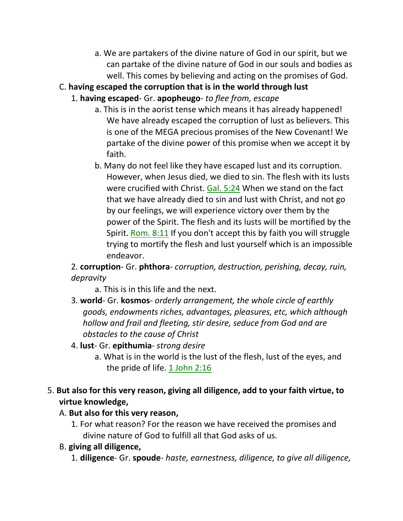a. We are partakers of the divine nature of God in our spirit, but we can partake of the divine nature of God in our souls and bodies as well. This comes by believing and acting on the promises of God.

#### C. **having escaped the corruption that is in the world through lust**

- 1. **having escaped** Gr. **apopheugo** *to flee from, escape*
	- a. This is in the aorist tense which means it has already happened! We have already escaped the corruption of lust as believers. This is one of the MEGA precious promises of the New Covenant! We partake of the divine power of this promise when we accept it by faith.
	- b. Many do not feel like they have escaped lust and its corruption. However, when Jesus died, we died to sin. The flesh with its lusts were crucified with Christ. Gal. 5:24 When we stand on the fact that we have already died to sin and lust with Christ, and not go by our feelings, we will experience victory over them by the power of the Spirit. The flesh and its lusts will be mortified by the Spirit. Rom. 8:11 If you don't accept this by faith you will struggle trying to mortify the flesh and lust yourself which is an impossible endeavor.

2. **corruption**- Gr. **phthora**- *corruption, destruction, perishing, decay, ruin, depravity*

a. This is in this life and the next.

- 3. **world** Gr. **kosmos** *orderly arrangement, the whole circle of earthly goods, endowments riches, advantages, pleasures, etc, which although hollow and frail and fleeting, stir desire, seduce from God and are obstacles to the cause of Christ*
- 4. **lust** Gr. **epithumia** *strong desire*
	- a. What is in the world is the lust of the flesh, lust of the eyes, and the pride of life. 1 John 2:16

#### 5. **But also for this very reason, giving all diligence, add to your faith virtue, to virtue knowledge,**

#### A. **But also for this very reason,**

1. For what reason? For the reason we have received the promises and divine nature of God to fulfill all that God asks of us.

#### B. **giving all diligence,**

1. **diligence**- Gr. **spoude**- *haste, earnestness, diligence, to give all diligence,*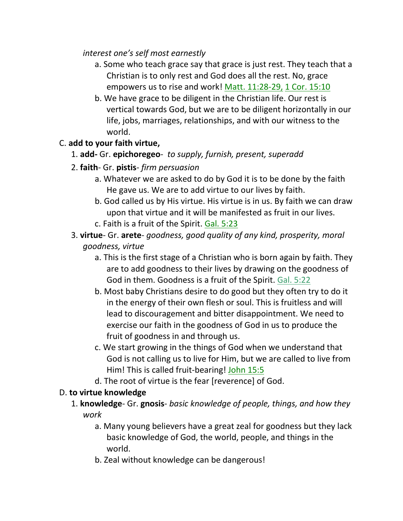*interest one's self most earnestly*

- a. Some who teach grace say that grace is just rest. They teach that a Christian is to only rest and God does all the rest. No, grace empowers us to rise and work! Matt. 11:28-29, 1 Cor. 15:10
- b. We have grace to be diligent in the Christian life. Our rest is vertical towards God, but we are to be diligent horizontally in our life, jobs, marriages, relationships, and with our witness to the world.

# C. **add to your faith virtue,**

- 1. **add-** Gr. **epichoregeo** *to supply, furnish, present, superadd*
- 2. **faith** Gr. **pistis** *firm persuasion*
	- a. Whatever we are asked to do by God it is to be done by the faith He gave us. We are to add virtue to our lives by faith.
	- b. God called us by His virtue. His virtue is in us. By faith we can draw upon that virtue and it will be manifested as fruit in our lives.
	- c. Faith is a fruit of the Spirit. Gal. 5:23
- 3. **virtue** Gr. **arete** *goodness, good quality of any kind, prosperity, moral goodness, virtue*
	- a. This is the first stage of a Christian who is born again by faith. They are to add goodness to their lives by drawing on the goodness of God in them. Goodness is a fruit of the Spirit. Gal. 5:22
	- b. Most baby Christians desire to do good but they often try to do it in the energy of their own flesh or soul. This is fruitless and will lead to discouragement and bitter disappointment. We need to exercise our faith in the goodness of God in us to produce the fruit of goodness in and through us.
	- c. We start growing in the things of God when we understand that God is not calling us to live for Him, but we are called to live from Him! This is called fruit-bearing! John 15:5
	- d. The root of virtue is the fear [reverence] of God.

## D. **to virtue knowledge**

- 1. **knowledge** Gr. **gnosis** *basic knowledge of people, things, and how they work*
	- a. Many young believers have a great zeal for goodness but they lack basic knowledge of God, the world, people, and things in the world.
	- b. Zeal without knowledge can be dangerous!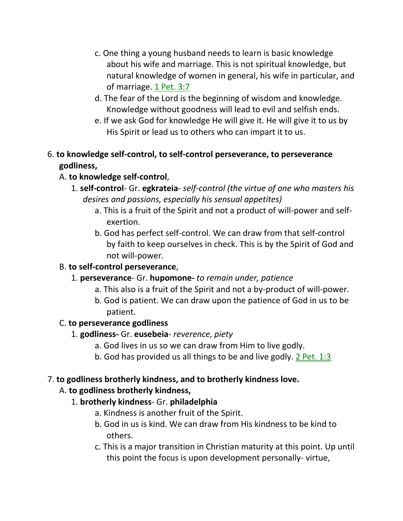- c. One thing a young husband needs to learn is basic knowledge about his wife and marriage. This is not spiritual knowledge, but natural knowledge of women in general, his wife in particular, and of marriage. 1 Pet. 3:7
- d. The fear of the Lord is the beginning of wisdom and knowledge. Knowledge without goodness will lead to evil and selfish ends.
- e. If we ask God for knowledge He will give it. He will give it to us by His Spirit or lead us to others who can impart it to us.

# 6. **to knowledge self-control, to self-control perseverance, to perseverance godliness,**

# A. **to knowledge self-control**,

- 1. **self-control** Gr. **egkrateia** *self-control (the virtue of one who masters his desires and passions, especially his sensual appetites)*
	- a. This is a fruit of the Spirit and not a product of will-power and selfexertion.
	- b. God has perfect self-control. We can draw from that self-control by faith to keep ourselves in check. This is by the Spirit of God and not will-power.

## B. **to self-control perseverance**,

- 1. **perseverance** Gr. **hupomone-** *to remain under, patience*
	- a. This also is a fruit of the Spirit and not a by-product of will-power.
	- b. God is patient. We can draw upon the patience of God in us to be patient.

## C. **to perseverance godliness**

- 1. **godliness-** Gr. **eusebeia** *reverence, piety*
	- a. God lives in us so we can draw from Him to live godly.
	- b. God has provided us all things to be and live godly. 2 Pet. 1:3

## 7. **to godliness brotherly kindness, and to brotherly kindness love.**

## A. **to godliness brotherly kindness,**

## 1. **brotherly kindness**- Gr. **philadelphia**

- a. Kindness is another fruit of the Spirit.
- b. God in us is kind. We can draw from His kindness to be kind to others.
- c. This is a major transition in Christian maturity at this point. Up until this point the focus is upon development personally- virtue,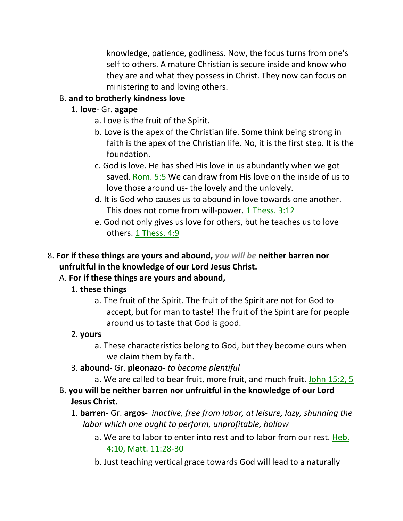knowledge, patience, godliness. Now, the focus turns from one's self to others. A mature Christian is secure inside and know who they are and what they possess in Christ. They now can focus on ministering to and loving others.

#### B. **and to brotherly kindness love**

#### 1. **love**- Gr. **agape**

- a. Love is the fruit of the Spirit.
- b. Love is the apex of the Christian life. Some think being strong in faith is the apex of the Christian life. No, it is the first step. It is the foundation.
- c. God is love. He has shed His love in us abundantly when we got saved. Rom. 5:5 We can draw from His love on the inside of us to love those around us- the lovely and the unlovely.
- d. It is God who causes us to abound in love towards one another. This does not come from will-power. 1 Thess. 3:12
- e. God not only gives us love for others, but he teaches us to love others. 1 Thess. 4:9
- 8. **For if these things are yours and abound,** *you will be* **neither barren nor unfruitful in the knowledge of our Lord Jesus Christ.**

## A. **For if these things are yours and abound,**

## 1. **these things**

a. The fruit of the Spirit. The fruit of the Spirit are not for God to accept, but for man to taste! The fruit of the Spirit are for people around us to taste that God is good.

## 2. **yours**

- a. These characteristics belong to God, but they become ours when we claim them by faith.
- 3. **abound** Gr. **pleonazo** *to become plentiful*
	- a. We are called to bear fruit, more fruit, and much fruit. John 15:2, 5
- B. **you will be neither barren nor unfruitful in the knowledge of our Lord Jesus Christ.** 
	- 1. **barren** Gr. **argos** *inactive, free from labor, at leisure, lazy, shunning the labor which one ought to perform, unprofitable, hollow*
		- a. We are to labor to enter into rest and to labor from our rest. Heb. 4:10, Matt. 11:28-30
		- b. Just teaching vertical grace towards God will lead to a naturally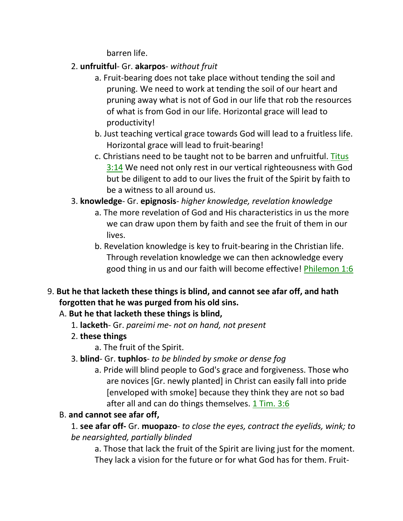barren life.

- 2. **unfruitful** Gr. **akarpos** *without fruit*
	- a. Fruit-bearing does not take place without tending the soil and pruning. We need to work at tending the soil of our heart and pruning away what is not of God in our life that rob the resources of what is from God in our life. Horizontal grace will lead to productivity!
	- b. Just teaching vertical grace towards God will lead to a fruitless life. Horizontal grace will lead to fruit-bearing!
	- c. Christians need to be taught not to be barren and unfruitful. Titus 3:14 We need not only rest in our vertical righteousness with God but be diligent to add to our lives the fruit of the Spirit by faith to be a witness to all around us.
- 3. **knowledge** Gr. **epignosis** *higher knowledge, revelation knowledge*
	- a. The more revelation of God and His characteristics in us the more we can draw upon them by faith and see the fruit of them in our lives.
	- b. Revelation knowledge is key to fruit-bearing in the Christian life. Through revelation knowledge we can then acknowledge every good thing in us and our faith will become effective! Philemon 1:6
- 9. **But he that lacketh these things is blind, and cannot see afar off, and hath forgotten that he was purged from his old sins.**

## A. **But he that lacketh these things is blind,**

- 1. **lacketh** Gr. *pareimi me not on hand, not present*
- 2. **these things**
	- a. The fruit of the Spirit.
- 3. **blind** Gr. **tuphlos** *to be blinded by smoke or dense fog*
	- a. Pride will blind people to God's grace and forgiveness. Those who are novices [Gr. newly planted] in Christ can easily fall into pride [enveloped with smoke] because they think they are not so bad after all and can do things themselves. 1 Tim. 3:6

# B. **and cannot see afar off,**

1. **see afar off-** Gr. **muopazo**- *to close the eyes, contract the eyelids, wink; to be nearsighted, partially blinded*

a. Those that lack the fruit of the Spirit are living just for the moment. They lack a vision for the future or for what God has for them. Fruit-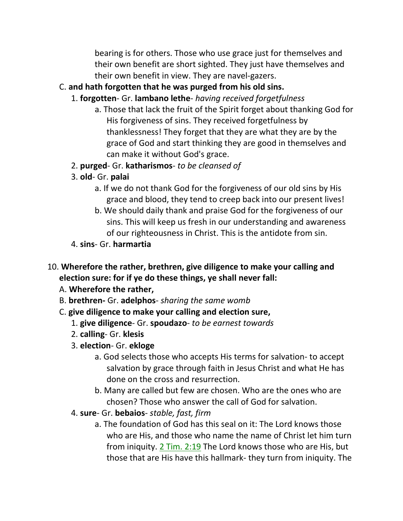bearing is for others. Those who use grace just for themselves and their own benefit are short sighted. They just have themselves and their own benefit in view. They are navel-gazers.

#### C. **and hath forgotten that he was purged from his old sins.**

- 1. **forgotten** Gr. **lambano lethe** *having received forgetfulness*
	- a. Those that lack the fruit of the Spirit forget about thanking God for His forgiveness of sins. They received forgetfulness by thanklessness! They forget that they are what they are by the grace of God and start thinking they are good in themselves and can make it without God's grace.
- 2. **purged** Gr. **katharismos** *to be cleansed of*
- 3. **old** Gr. **palai**
	- a. If we do not thank God for the forgiveness of our old sins by His grace and blood, they tend to creep back into our present lives!
	- b. We should daily thank and praise God for the forgiveness of our sins. This will keep us fresh in our understanding and awareness of our righteousness in Christ. This is the antidote from sin.
- 4. **sins** Gr. **harmartia**
- 10. **Wherefore the rather, brethren, give diligence to make your calling and election sure: for if ye do these things, ye shall never fall:** 
	- A. **Wherefore the rather,**
	- B. **brethren-** Gr. **adelphos** *sharing the same womb*
	- C. **give diligence to make your calling and election sure,**
		- 1. **give diligence** Gr. **spoudazo** *to be earnest towards*
		- 2. **calling** Gr. **klesis**
		- 3. **election** Gr. **ekloge**
			- a. God selects those who accepts His terms for salvation- to accept salvation by grace through faith in Jesus Christ and what He has done on the cross and resurrection.
			- b. Many are called but few are chosen. Who are the ones who are chosen? Those who answer the call of God for salvation.
		- 4. **sure** Gr. **bebaios** *stable, fast, firm*
			- a. The foundation of God has this seal on it: The Lord knows those who are His, and those who name the name of Christ let him turn from iniquity. 2 Tim. 2:19 The Lord knows those who are His, but those that are His have this hallmark- they turn from iniquity. The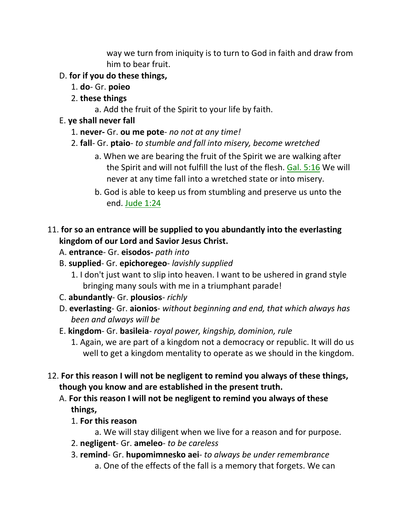way we turn from iniquity is to turn to God in faith and draw from him to bear fruit.

#### D. **for if you do these things,**

- 1. **do** Gr. **poieo**
- 2. **these things**
	- a. Add the fruit of the Spirit to your life by faith.
- E. **ye shall never fall**
	- 1. **never-** Gr. **ou me pote** *no not at any time!*
	- 2. **fall** Gr. **ptaio** *to stumble and fall into misery, become wretched*
		- a. When we are bearing the fruit of the Spirit we are walking after the Spirit and will not fulfill the lust of the flesh. Gal. 5:16 We will never at any time fall into a wretched state or into misery.
		- b. God is able to keep us from stumbling and preserve us unto the end. Jude 1:24

#### 11. **for so an entrance will be supplied to you abundantly into the everlasting kingdom of our Lord and Savior Jesus Christ.**

- A. **entrance** Gr. **eisodos-** *path into*
- B. **supplied** Gr. **epichoregeo** *lavishly supplied*
	- 1. I don't just want to slip into heaven. I want to be ushered in grand style bringing many souls with me in a triumphant parade!
- C. **abundantly** Gr. **plousios** *richly*
- D. **everlasting** Gr. **aionios** *without beginning and end, that which always has been and always will be*
- E. **kingdom** Gr. **basileia** *royal power, kingship, dominion, rule*
	- 1. Again, we are part of a kingdom not a democracy or republic. It will do us well to get a kingdom mentality to operate as we should in the kingdom.
- 12. **For this reason I will not be negligent to remind you always of these things, though you know and are established in the present truth.** 
	- A. **For this reason I will not be negligent to remind you always of these things,**
		- 1. **For this reason**
			- a. We will stay diligent when we live for a reason and for purpose.
		- 2. **negligent** Gr. **ameleo** *to be careless*
		- 3. **remind** Gr. **hupomimnesko aei** *to always be under remembrance* a. One of the effects of the fall is a memory that forgets. We can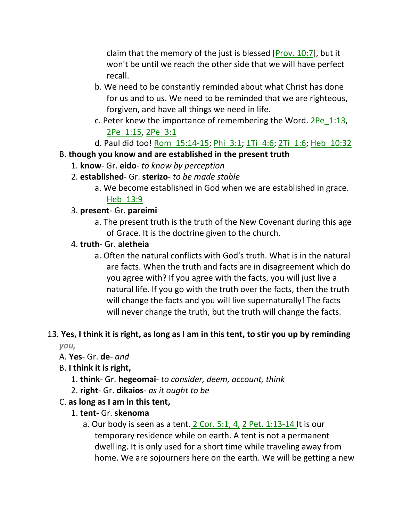claim that the memory of the just is blessed  $[Prov. 10:7]$ , but it won't be until we reach the other side that we will have perfect recall.

- b. We need to be constantly reminded about what Christ has done for us and to us. We need to be reminded that we are righteous, forgiven, and have all things we need in life.
- c. Peter knew the importance of remembering the Word. 2Pe\_1:13, 2Pe\_1:15, 2Pe\_3:1
- d. Paul did too! Rom 15:14-15; Phi 3:1; 1Ti 4:6; 2Ti 1:6; Heb 10:32

#### B. **though you know and are established in the present truth**

- 1. **know** Gr. **eido** *to know by perception*
- 2. **established** Gr. **sterizo** *to be made stable*
	- a. We become established in God when we are established in grace. Heb\_13:9

#### 3. **present**- Gr. **pareimi**

a. The present truth is the truth of the New Covenant during this age of Grace. It is the doctrine given to the church.

#### 4. **truth**- Gr. **aletheia**

a. Often the natural conflicts with God's truth. What is in the natural are facts. When the truth and facts are in disagreement which do you agree with? If you agree with the facts, you will just live a natural life. If you go with the truth over the facts, then the truth will change the facts and you will live supernaturally! The facts will never change the truth, but the truth will change the facts.

# 13. **Yes, I think it is right, as long as I am in this tent, to stir you up by reminding**

*you,*

#### A. **Yes**- Gr. **de**- *and*

- B. **I think it is right,**
	- 1. **think** Gr. **hegeomai** *to consider, deem, account, think*
	- 2. **right** Gr. **dikaios** *as it ought to be*

#### C. **as long as I am in this tent,**

- 1. **tent** Gr. **skenoma**
	- a. Our body is seen as a tent. 2 Cor. 5:1, 4, 2 Pet. 1:13-14 It is our temporary residence while on earth. A tent is not a permanent dwelling. It is only used for a short time while traveling away from home. We are sojourners here on the earth. We will be getting a new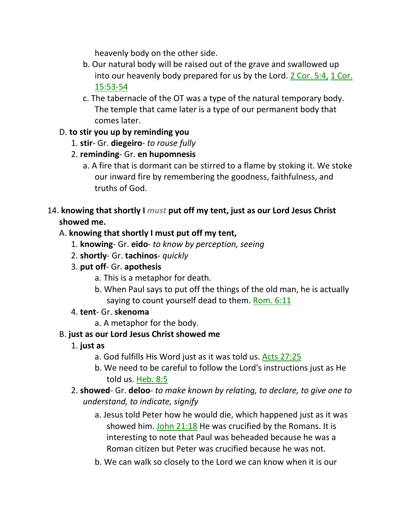heavenly body on the other side.

- b. Our natural body will be raised out of the grave and swallowed up into our heavenly body prepared for us by the Lord. 2 Cor. 5:4, 1 Cor. 15:53-54
- c. The tabernacle of the OT was a type of the natural temporary body. The temple that came later is a type of our permanent body that comes later.

# D. **to stir you up by reminding you**

- 1. **stir** Gr. **diegeiro** *to rouse fully*
- 2. **reminding** Gr. **en hupomnesis**
	- a. A fire that is dormant can be stirred to a flame by stoking it. We stoke our inward fire by remembering the goodness, faithfulness, and truths of God.
- 14. **knowing that shortly I** *must* **put off my tent, just as our Lord Jesus Christ showed me.**

# A. **knowing that shortly I must put off my tent,**

- 1. **knowing** Gr. **eido** *to know by perception, seeing*
- 2. **shortly** Gr. **tachinos** *quickly*
- 3. **put off** Gr. **apothesis**
	- a. This is a metaphor for death.
	- b. When Paul says to put off the things of the old man, he is actually saying to count yourself dead to them. Rom. 6:11
- 4. **tent** Gr. **skenoma**
	- a. A metaphor for the body.

# B. **just as our Lord Jesus Christ showed me**

- 1. **just as**
	- a. God fulfills His Word just as it was told us. Acts 27:25
	- b. We need to be careful to follow the Lord's instructions just as He told us. Heb. 8:5
- 2. **showed** Gr. **deloo** *to make known by relating, to declare, to give one to understand, to indicate, signify*
	- a. Jesus told Peter how he would die, which happened just as it was showed him. John  $21:18$  He was crucified by the Romans. It is interesting to note that Paul was beheaded because he was a Roman citizen but Peter was crucified because he was not.
	- b. We can walk so closely to the Lord we can know when it is our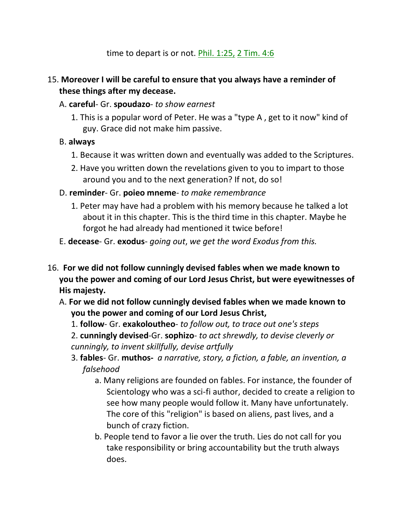time to depart is or not. Phil. 1:25, 2 Tim. 4:6

#### 15. **Moreover I will be careful to ensure that you always have a reminder of these things after my decease.**

- A. **careful** Gr. **spoudazo** *to show earnest*
	- 1. This is a popular word of Peter. He was a "type A , get to it now" kind of guy. Grace did not make him passive.

#### B. **always**

- 1. Because it was written down and eventually was added to the Scriptures.
- 2. Have you written down the revelations given to you to impart to those around you and to the next generation? If not, do so!
- D. **reminder** Gr. **poieo mneme** *to make remembrance*
	- 1. Peter may have had a problem with his memory because he talked a lot about it in this chapter. This is the third time in this chapter. Maybe he forgot he had already had mentioned it twice before!
- E. **decease** Gr. **exodus** *going out*, *we get the word Exodus from this.*
- 16. **For we did not follow cunningly devised fables when we made known to you the power and coming of our Lord Jesus Christ, but were eyewitnesses of His majesty.** 
	- A. **For we did not follow cunningly devised fables when we made known to you the power and coming of our Lord Jesus Christ,**
		- 1. **follow** Gr. **exakoloutheo** *to follow out, to trace out one's steps*

2. **cunningly devised**-Gr. **sophizo**- *to act shrewdly, to devise cleverly or cunningly, to invent skillfully, devise artfully*

- 3. **fables** Gr. **muthos-** *a narrative, story, a fiction, a fable, an invention, a falsehood*
	- a. Many religions are founded on fables. For instance, the founder of Scientology who was a sci-fi author, decided to create a religion to see how many people would follow it. Many have unfortunately. The core of this "religion" is based on aliens, past lives, and a bunch of crazy fiction.
	- b. People tend to favor a lie over the truth. Lies do not call for you take responsibility or bring accountability but the truth always does.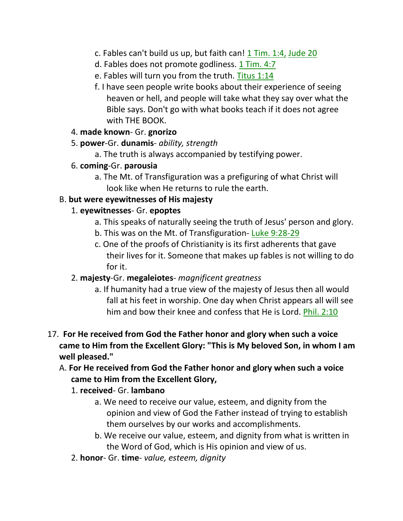- c. Fables can't build us up, but faith can!  $1$  Tim. 1:4, Jude 20
- d. Fables does not promote godliness. 1 Tim. 4:7
- e. Fables will turn you from the truth. Titus 1:14
- f. I have seen people write books about their experience of seeing heaven or hell, and people will take what they say over what the Bible says. Don't go with what books teach if it does not agree with THE BOOK.
- 4. **made known** Gr. **gnorizo**
- 5. **power**-Gr. **dunamis** *ability, strength*
	- a. The truth is always accompanied by testifying power.
- 6. **coming**-Gr. **parousia**
	- a. The Mt. of Transfiguration was a prefiguring of what Christ will look like when He returns to rule the earth.

## B. **but were eyewitnesses of His majesty**

## 1. **eyewitnesses**- Gr. **epoptes**

- a. This speaks of naturally seeing the truth of Jesus' person and glory.
- b. This was on the Mt. of Transfiguration- Luke 9:28-29
- c. One of the proofs of Christianity is its first adherents that gave their lives for it. Someone that makes up fables is not willing to do for it.
- 2. **majesty**-Gr. **megaleiotes** *magnificent greatness*
	- a. If humanity had a true view of the majesty of Jesus then all would fall at his feet in worship. One day when Christ appears all will see him and bow their knee and confess that He is Lord. Phil. 2:10
- 17. **For He received from God the Father honor and glory when such a voice came to Him from the Excellent Glory: "This is My beloved Son, in whom I am well pleased."** 
	- A. **For He received from God the Father honor and glory when such a voice came to Him from the Excellent Glory,**

## 1. **received**- Gr. **lambano**

- a. We need to receive our value, esteem, and dignity from the opinion and view of God the Father instead of trying to establish them ourselves by our works and accomplishments.
- b. We receive our value, esteem, and dignity from what is written in the Word of God, which is His opinion and view of us.
- 2. **honor** Gr. **time** *value, esteem, dignity*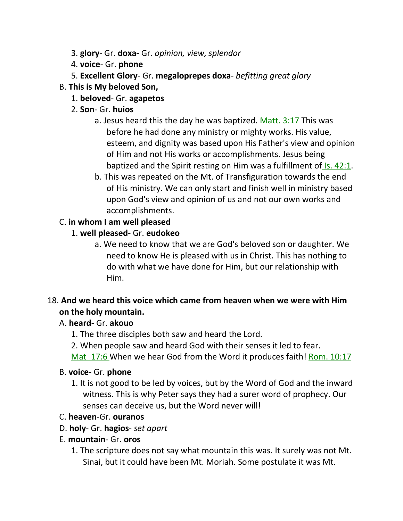- 3. **glory** Gr. **doxa-** Gr. *opinion, view, splendor*
- 4. **voice** Gr. **phone**
- 5. **Excellent Glory** Gr. **megaloprepes doxa** *befitting great glory*

#### B. **This is My beloved Son,**

- 1. **beloved** Gr. **agapetos**
- 2. **Son** Gr. **huios**
	- a. Jesus heard this the day he was baptized. Matt. 3:17 This was before he had done any ministry or mighty works. His value, esteem, and dignity was based upon His Father's view and opinion of Him and not His works or accomplishments. Jesus being baptized and the Spirit resting on Him was a fulfillment of *Is.* 42:1.
	- b. This was repeated on the Mt. of Transfiguration towards the end of His ministry. We can only start and finish well in ministry based upon God's view and opinion of us and not our own works and accomplishments.

## C. **in whom I am well pleased**

#### 1. **well pleased**- Gr. **eudokeo**

a. We need to know that we are God's beloved son or daughter. We need to know He is pleased with us in Christ. This has nothing to do with what we have done for Him, but our relationship with Him.

## 18. **And we heard this voice which came from heaven when we were with Him on the holy mountain.**

#### A. **heard**- Gr. **akouo**

1. The three disciples both saw and heard the Lord.

2. When people saw and heard God with their senses it led to fear.

Mat 17:6 When we hear God from the Word it produces faith! Rom. 10:17

#### B. **voice**- Gr. **phone**

1. It is not good to be led by voices, but by the Word of God and the inward witness. This is why Peter says they had a surer word of prophecy. Our senses can deceive us, but the Word never will!

#### C. **heaven**-Gr. **ouranos**

- D. **holy** Gr. **hagios** *set apart*
- E. **mountain** Gr. **oros**
	- 1. The scripture does not say what mountain this was. It surely was not Mt. Sinai, but it could have been Mt. Moriah. Some postulate it was Mt.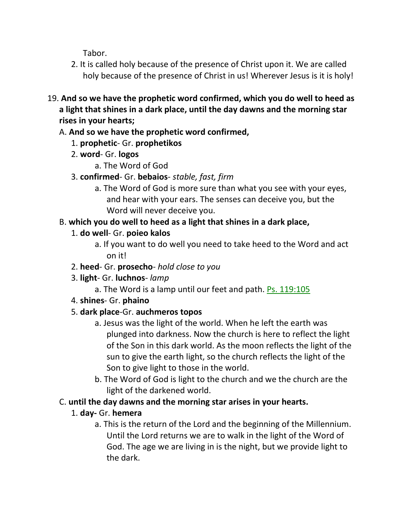Tabor.

- 2. It is called holy because of the presence of Christ upon it. We are called holy because of the presence of Christ in us! Wherever Jesus is it is holy!
- 19. **And so we have the prophetic word confirmed, which you do well to heed as a light that shines in a dark place, until the day dawns and the morning star rises in your hearts;** 
	- A. **And so we have the prophetic word confirmed,**
		- 1. **prophetic** Gr. **prophetikos**
		- 2. **word** Gr. **logos**
			- a. The Word of God
		- 3. **confirmed** Gr. **bebaios** *stable, fast, firm*
			- a. The Word of God is more sure than what you see with your eyes, and hear with your ears. The senses can deceive you, but the Word will never deceive you.

# B. **which you do well to heed as a light that shines in a dark place,**

- 1. **do well** Gr. **poieo kalos**
	- a. If you want to do well you need to take heed to the Word and act on it!
- 2. **heed** Gr. **prosecho** *hold close to you*
- 3. **light** Gr. **luchnos** *lamp*
	- a. The Word is a lamp until our feet and path. Ps. 119:105
- 4. **shines** Gr. **phaino**

# 5. **dark place**-Gr. **auchmeros topos**

- a. Jesus was the light of the world. When he left the earth was plunged into darkness. Now the church is here to reflect the light of the Son in this dark world. As the moon reflects the light of the sun to give the earth light, so the church reflects the light of the Son to give light to those in the world.
- b. The Word of God is light to the church and we the church are the light of the darkened world.
- C. **until the day dawns and the morning star arises in your hearts.**

# 1. **day-** Gr. **hemera**

a. This is the return of the Lord and the beginning of the Millennium. Until the Lord returns we are to walk in the light of the Word of God. The age we are living in is the night, but we provide light to the dark.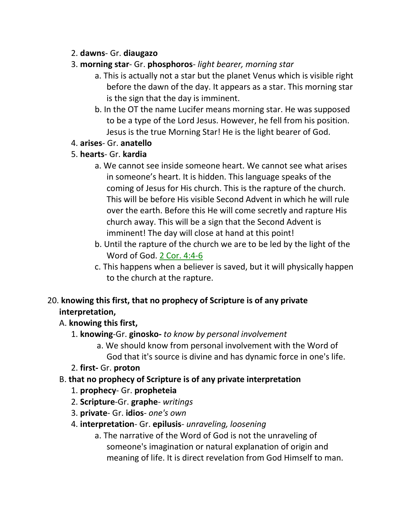#### 2. **dawns**- Gr. **diaugazo**

- 3. **morning star** Gr. **phosphoros** *light bearer, morning star*
	- a. This is actually not a star but the planet Venus which is visible right before the dawn of the day. It appears as a star. This morning star is the sign that the day is imminent.
	- b. In the OT the name Lucifer means morning star. He was supposed to be a type of the Lord Jesus. However, he fell from his position. Jesus is the true Morning Star! He is the light bearer of God.
- 4. **arises** Gr. **anatello**
- 5. **hearts** Gr. **kardia**
	- a. We cannot see inside someone heart. We cannot see what arises in someone's heart. It is hidden. This language speaks of the coming of Jesus for His church. This is the rapture of the church. This will be before His visible Second Advent in which he will rule over the earth. Before this He will come secretly and rapture His church away. This will be a sign that the Second Advent is imminent! The day will close at hand at this point!
	- b. Until the rapture of the church we are to be led by the light of the Word of God. 2 Cor. 4:4-6
	- c. This happens when a believer is saved, but it will physically happen to the church at the rapture.

# 20. **knowing this first, that no prophecy of Scripture is of any private interpretation,**

## A. **knowing this first,**

- 1. **knowing**-Gr. **ginosko-** *to know by personal involvement*
	- a. We should know from personal involvement with the Word of God that it's source is divine and has dynamic force in one's life.
- 2. **first-** Gr. **proton**
- B. **that no prophecy of Scripture is of any private interpretation**
	- 1. **prophecy** Gr. **propheteia**
	- 2. **Scripture**-Gr. **graphe** *writings*
	- 3. **private** Gr. **idios** *one's own*
	- 4. **interpretation** Gr. **epilusis** *unraveling, loosening*
		- a. The narrative of the Word of God is not the unraveling of someone's imagination or natural explanation of origin and meaning of life. It is direct revelation from God Himself to man.